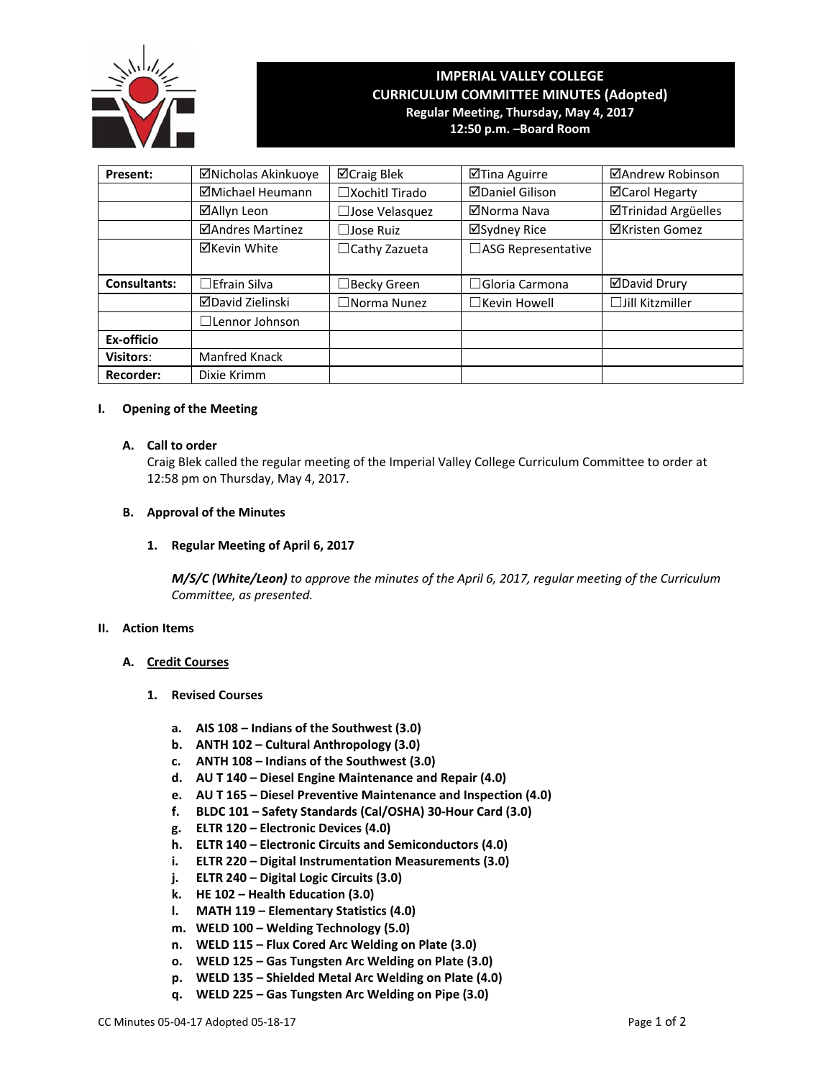

# **IMPERIAL VALLEY COLLEGE CURRICULUM COMMITTEE MINUTES (Adopted) Regular Meeting, Thursday, May 4, 2017 12:50 p.m. –Board Room**

| Present:            | ⊠Nicholas Akinkuoye     | ⊠Craig Blek                      | ⊠Tina Aguirre          | ⊠Andrew Robinson       |  |  |
|---------------------|-------------------------|----------------------------------|------------------------|------------------------|--|--|
|                     | ⊠Michael Heumann        | $\Box$ Xochitl Tirado            | <b>ØDaniel Gilison</b> | ⊠Carol Hegarty         |  |  |
|                     | ⊠Allyn Leon             | □Jose Velasquez                  | ⊠Norma Nava            | ⊠Trinidad Argüelles    |  |  |
|                     | <b>ØAndres Martinez</b> | ⊠Sydney Rice<br>$\Box$ Jose Ruiz |                        | <b>⊠Kristen Gomez</b>  |  |  |
|                     | ⊠Kevin White            | $\Box$ Cathy Zazueta             | □ASG Representative    |                        |  |  |
|                     |                         |                                  |                        |                        |  |  |
| <b>Consultants:</b> | $\Box$ Efrain Silva     | $\Box$ Becky Green               | $\Box$ Gloria Carmona  | <b>ØDavid Drury</b>    |  |  |
|                     | ⊠David Zielinski        | $\Box$ Norma Nunez               | $\Box$ Kevin Howell    | $\Box$ Jill Kitzmiller |  |  |
|                     | $\Box$ Lennor Johnson   |                                  |                        |                        |  |  |
| Ex-officio          |                         |                                  |                        |                        |  |  |
| <b>Visitors:</b>    | Manfred Knack           |                                  |                        |                        |  |  |
| <b>Recorder:</b>    | Dixie Krimm             |                                  |                        |                        |  |  |

#### **I. Opening of the Meeting**

### **A. Call to order**

Craig Blek called the regular meeting of the Imperial Valley College Curriculum Committee to order at 12:58 pm on Thursday, May 4, 2017.

## **B. Approval of the Minutes**

## **1. Regular Meeting of April 6, 2017**

*M/S/C (White/Leon) to approve the minutes of the April 6, 2017, regular meeting of the Curriculum Committee, as presented.*

#### **II. Action Items**

## **A. Credit Courses**

- **1. Revised Courses**
	- **a. AIS 108 – Indians of the Southwest (3.0)**
	- **b. ANTH 102 – Cultural Anthropology (3.0)**
	- **c. ANTH 108 – Indians of the Southwest (3.0)**
	- **d. AU T 140 – Diesel Engine Maintenance and Repair (4.0)**
	- **e. AU T 165 – Diesel Preventive Maintenance and Inspection (4.0)**
	- **f. BLDC 101 – Safety Standards (Cal/OSHA) 30‐Hour Card (3.0)**
	- **g. ELTR 120 – Electronic Devices (4.0)**
	- **h. ELTR 140 – Electronic Circuits and Semiconductors (4.0)**
	- **i. ELTR 220 – Digital Instrumentation Measurements (3.0)**
	- **j. ELTR 240 – Digital Logic Circuits (3.0)**
	- **k. HE 102 – Health Education (3.0)**
	- **l. MATH 119 – Elementary Statistics (4.0)**
	- **m. WELD 100 – Welding Technology (5.0)**
	- **n. WELD 115 – Flux Cored Arc Welding on Plate (3.0)**
	- **o. WELD 125 – Gas Tungsten Arc Welding on Plate (3.0)**
	- **p. WELD 135 – Shielded Metal Arc Welding on Plate (4.0)**
	- **q. WELD 225 – Gas Tungsten Arc Welding on Pipe (3.0)**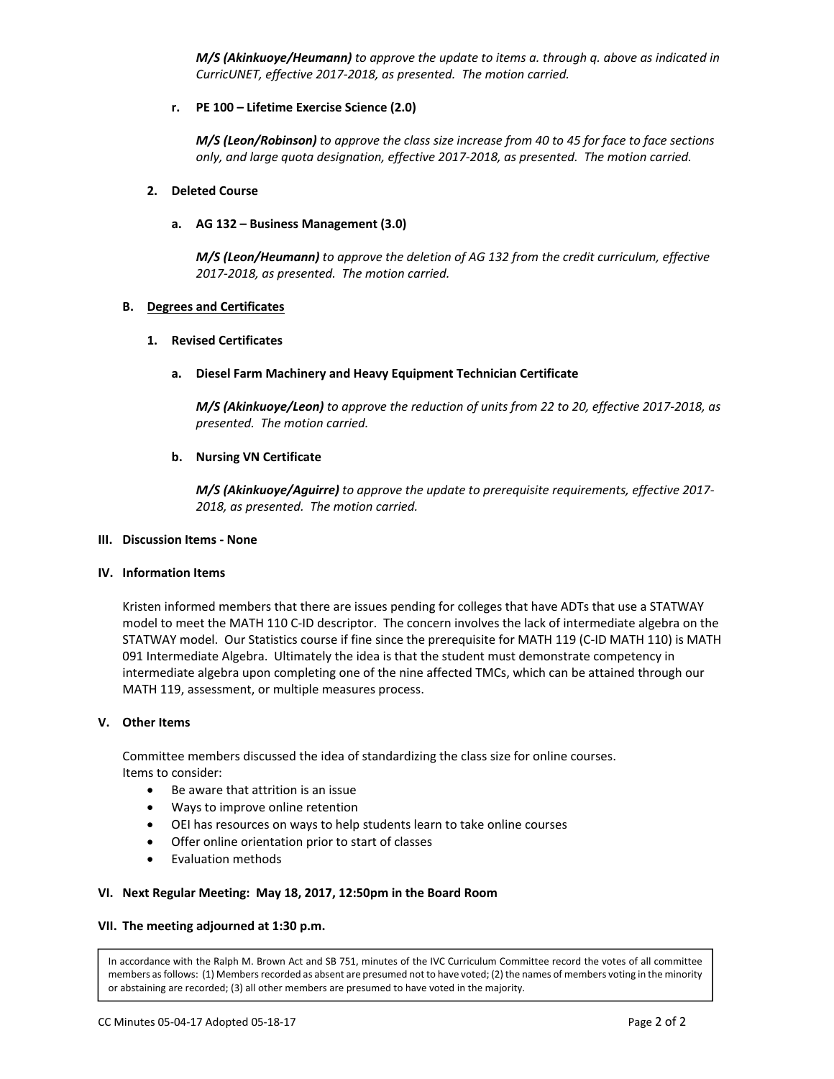*M/S (Akinkuoye/Heumann) to approve the update to items a. through q. above as indicated in CurricUNET, effective 2017‐2018, as presented. The motion carried.*

## **r. PE 100 – Lifetime Exercise Science (2.0)**

M/S (Leon/Robinson) to approve the class size increase from 40 to 45 for face to face sections  *only, and large quota designation, effective 2017‐2018, as presented. The motion carried.*

### **2. Deleted Course**

## **a. AG 132 – Business Management (3.0)**

 *M/S (Leon/Heumann) to approve the deletion of AG 132 from the credit curriculum, effective 2017‐2018, as presented. The motion carried.*

## **B. Degrees and Certificates**

## **1. Revised Certificates**

## **a. Diesel Farm Machinery and Heavy Equipment Technician Certificate**

M/S (Akinkuoye/Leon) to approve the reduction of units from 22 to 20, effective 2017-2018, as  *presented. The motion carried.*

## **b. Nursing VN Certificate**

*M/S (Akinkuoye/Aguirre) to approve the update to prerequisite requirements, effective 2017‐ 2018, as presented. The motion carried.*

#### **III. Discussion Items ‐ None**

#### **IV. Information Items**

Kristen informed members that there are issues pending for colleges that have ADTs that use a STATWAY model to meet the MATH 110 C‐ID descriptor. The concern involves the lack of intermediate algebra on the STATWAY model. Our Statistics course if fine since the prerequisite for MATH 119 (C‐ID MATH 110) is MATH 091 Intermediate Algebra. Ultimately the idea is that the student must demonstrate competency in intermediate algebra upon completing one of the nine affected TMCs, which can be attained through our MATH 119, assessment, or multiple measures process.

#### **V. Other Items**

Committee members discussed the idea of standardizing the class size for online courses. Items to consider:

- Be aware that attrition is an issue
- Ways to improve online retention
- OEI has resources on ways to help students learn to take online courses
- Offer online orientation prior to start of classes
- Evaluation methods

#### **VI. Next Regular Meeting: May 18, 2017, 12:50pm in the Board Room**

#### **VII. The meeting adjourned at 1:30 p.m.**

In accordance with the Ralph M. Brown Act and SB 751, minutes of the IVC Curriculum Committee record the votes of all committee members as follows: (1) Members recorded as absent are presumed not to have voted; (2) the names of members voting in the minority or abstaining are recorded; (3) all other members are presumed to have voted in the majority.